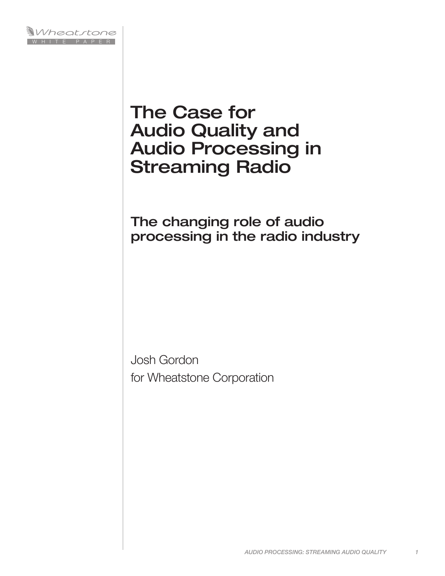

# The Case for Audio Quality and Audio Processing in Streaming Radio

# The changing role of audio processing in the radio industry

Josh Gordon for Wheatstone Corporation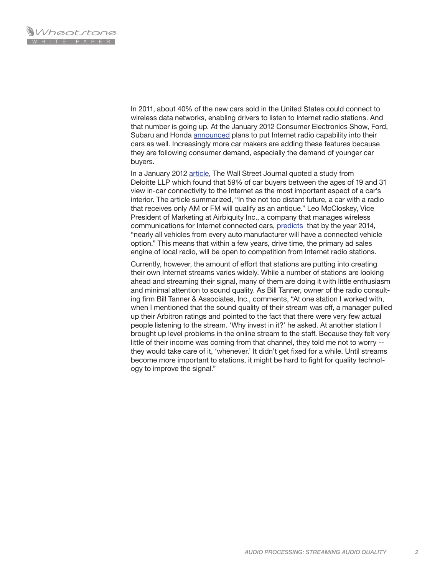In 2011, about 40% of the new cars sold in the United States could connect to wireless data networks, enabling drivers to listen to Internet radio stations. And that number is going up. At the January 2012 Consumer Electronics Show, Ford, Subaru and Honda [announced](http://news.consumerreports.org/cars/2012/01/ces-2012-ford-subaru-honda-add-internet-radio-integration.html) plans to put Internet radio capability into their cars as well. Increasingly more car makers are adding these features because they are following consumer demand, especially the demand of younger car buyers.

In a January 2012 [article](http://online.wsj.com/article/SB10001424052970203718504577180770396354022.html), The Wall Street Journal quoted a study from Deloitte LLP which found that 59% of car buyers between the ages of 19 and 31 view in-car connectivity to the Internet as the most important aspect of a car's interior. The article summarized, "In the not too distant future, a car with a radio that receives only AM or FM will qualify as an antique." Leo McCloskey, Vice President of Marketing at Airbiquity Inc., a company that manages wireless communications for Internet connected cars, [predicts](http://articles.boston.com/2012-01-10/business/30607946_1_smart-car-concept-car-dashboard-screen) that by the year 2014, "nearly all vehicles from every auto manufacturer will have a connected vehicle option." This means that within a few years, drive time, the primary ad sales engine of local radio, will be open to competition from Internet radio stations.

Currently, however, the amount of effort that stations are putting into creating their own Internet streams varies widely. While a number of stations are looking ahead and streaming their signal, many of them are doing it with little enthusiasm and minimal attention to sound quality. As Bill Tanner, owner of the radio consulting firm Bill Tanner & Associates, Inc., comments, "At one station I worked with, when I mentioned that the sound quality of their stream was off, a manager pulled up their Arbitron ratings and pointed to the fact that there were very few actual people listening to the stream. 'Why invest in it?' he asked. At another station I brought up level problems in the online stream to the staff. Because they felt very little of their income was coming from that channel, they told me not to worry - they would take care of it, 'whenever.' It didn't get fixed for a while. Until streams become more important to stations, it might be hard to fight for quality technology to improve the signal."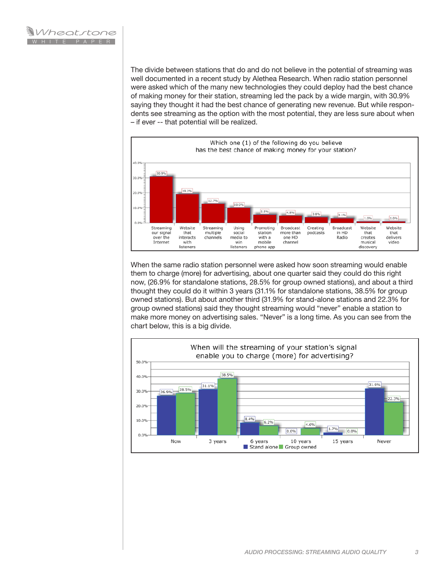The divide between stations that do and do not believe in the potential of streaming was well documented in a recent study by Alethea Research. When radio station personnel were asked which of the many new technologies they could deploy had the best chance of making money for their station, streaming led the pack by a wide margin, with 30.9% saying they thought it had the best chance of generating new revenue. But while respondents see streaming as the option with the most potential, they are less sure about when – if ever -- that potential will be realized.



When the same radio station personnel were asked how soon streaming would enable them to charge (more) for advertising, about one quarter said they could do this right now, (26.9% for standalone stations, 28.5% for group owned stations), and about a third thought they could do it within 3 years (31.1% for standalone stations, 38.5% for group owned stations). But about another third (31.9% for stand-alone stations and 22.3% for group owned stations) said they thought streaming would "never" enable a station to make more money on advertising sales. "Never" is a long time. As you can see from the chart below, this is a big divide.

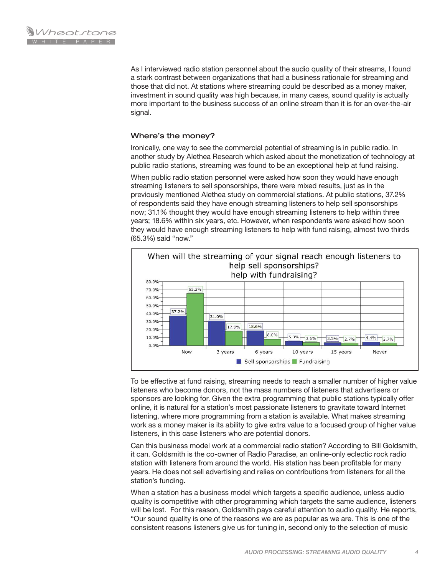As I interviewed radio station personnel about the audio quality of their streams, I found a stark contrast between organizations that had a business rationale for streaming and those that did not. At stations where streaming could be described as a money maker, investment in sound quality was high because, in many cases, sound quality is actually more important to the business success of an online stream than it is for an over-the-air signal.

## Where's the money?

Ironically, one way to see the commercial potential of streaming is in public radio. In another study by Alethea Research which asked about the monetization of technology at public radio stations, streaming was found to be an exceptional help at fund raising.

When public radio station personnel were asked how soon they would have enough streaming listeners to sell sponsorships, there were mixed results, just as in the previously mentioned Alethea study on commercial stations. At public stations, 37.2% of respondents said they have enough streaming listeners to help sell sponsorships now; 31.1% thought they would have enough streaming listeners to help within three years; 18.6% within six years, etc. However, when respondents were asked how soon they would have enough streaming listeners to help with fund raising, almost two thirds (65.3%) said "now."



To be effective at fund raising, streaming needs to reach a smaller number of higher value listeners who become donors, not the mass numbers of listeners that advertisers or sponsors are looking for. Given the extra programming that public stations typically offer online, it is natural for a station's most passionate listeners to gravitate toward Internet listening, where more programming from a station is available. What makes streaming work as a money maker is its ability to give extra value to a focused group of higher value listeners, in this case listeners who are potential donors.

Can this business model work at a commercial radio station? According to Bill Goldsmith, it can. Goldsmith is the co-owner of Radio Paradise, an online-only eclectic rock radio station with listeners from around the world. His station has been profitable for many years. He does not sell advertising and relies on contributions from listeners for all the station's funding.

When a station has a business model which targets a specific audience, unless audio quality is competitive with other programming which targets the same audience, listeners will be lost. For this reason, Goldsmith pays careful attention to audio quality. He reports, "Our sound quality is one of the reasons we are as popular as we are. This is one of the consistent reasons listeners give us for tuning in, second only to the selection of music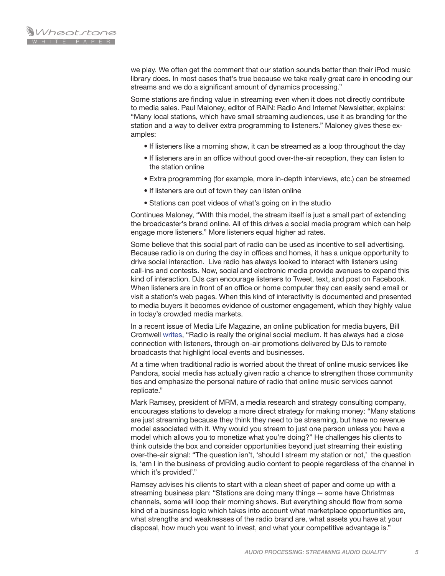we play. We often get the comment that our station sounds better than their iPod music library does. In most cases that's true because we take really great care in encoding our streams and we do a significant amount of dynamics processing."

Some stations are finding value in streaming even when it does not directly contribute to media sales. Paul Maloney, editor of RAIN: Radio And Internet Newsletter, explains: "Many local stations, which have small streaming audiences, use it as branding for the station and a way to deliver extra programming to listeners." Maloney gives these examples:

- If listeners like a morning show, it can be streamed as a loop throughout the day
- If listeners are in an office without good over-the-air reception, they can listen to the station online
- Extra programming (for example, more in-depth interviews, etc.) can be streamed
- If listeners are out of town they can listen online
- Stations can post videos of what's going on in the studio

Continues Maloney, "With this model, the stream itself is just a small part of extending the broadcaster's brand online. All of this drives a social media program which can help engage more listeners." More listeners equal higher ad rates.

Some believe that this social part of radio can be used as incentive to sell advertising. Because radio is on during the day in offices and homes, it has a unique opportunity to drive social interaction. Live radio has always looked to interact with listeners using call-ins and contests. Now, social and electronic media provide avenues to expand this kind of interaction. DJs can encourage listeners to Tweet, text, and post on Facebook. When listeners are in front of an office or home computer they can easily send email or visit a station's web pages. When this kind of interactivity is documented and presented to media buyers it becomes evidence of customer engagement, which they highly value in today's crowded media markets.

In a recent issue of Media Life Magazine, an online publication for media buyers, Bill Cromwell [writes,](http://www.medialifemagazine.com/artman2/publish/social-media/Social-media-s-real-impact-is-on-old-media.asp) "Radio is really the original social medium. It has always had a close connection with listeners, through on-air promotions delivered by DJs to remote broadcasts that highlight local events and businesses.

At a time when traditional radio is worried about the threat of online music services like Pandora, social media has actually given radio a chance to strengthen those community ties and emphasize the personal nature of radio that online music services cannot replicate."

Mark Ramsey, president of MRM, a media research and strategy consulting company, encourages stations to develop a more direct strategy for making money: "Many stations are just streaming because they think they need to be streaming, but have no revenue model associated with it. Why would you stream to just one person unless you have a model which allows you to monetize what you're doing?" He challenges his clients to think outside the box and consider opportunities beyond just streaming their existing over-the-air signal: "The question isn't, 'should I stream my station or not,' the question is, 'am I in the business of providing audio content to people regardless of the channel in which it's provided'."

Ramsey advises his clients to start with a clean sheet of paper and come up with a streaming business plan: "Stations are doing many things -- some have Christmas channels, some will loop their morning shows. But everything should flow from some kind of a business logic which takes into account what marketplace opportunities are, what strengths and weaknesses of the radio brand are, what assets you have at your disposal, how much you want to invest, and what your competitive advantage is."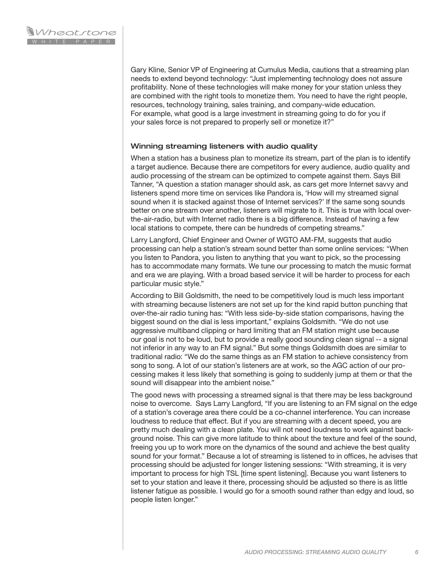Gary Kline, Senior VP of Engineering at Cumulus Media, cautions that a streaming plan needs to extend beyond technology: "Just implementing technology does not assure profitability. None of these technologies will make money for your station unless they are combined with the right tools to monetize them. You need to have the right people, resources, technology training, sales training, and company-wide education. For example, what good is a large investment in streaming going to do for you if your sales force is not prepared to properly sell or monetize it?"

#### Winning streaming listeners with audio quality

When a station has a business plan to monetize its stream, part of the plan is to identify a target audience. Because there are competitors for every audience, audio quality and audio processing of the stream can be optimized to compete against them. Says Bill Tanner, "A question a station manager should ask, as cars get more Internet savvy and listeners spend more time on services like Pandora is, 'How will my streamed signal sound when it is stacked against those of Internet services?' If the same song sounds better on one stream over another, listeners will migrate to it. This is true with local overthe-air-radio, but with Internet radio there is a big difference. Instead of having a few local stations to compete, there can be hundreds of competing streams."

Larry Langford, Chief Engineer and Owner of WGTO AM-FM, suggests that audio processing can help a station's stream sound better than some online services: "When you listen to Pandora, you listen to anything that you want to pick, so the processing has to accommodate many formats. We tune our processing to match the music format and era we are playing. With a broad based service it will be harder to process for each particular music style."

According to Bill Goldsmith, the need to be competitively loud is much less important with streaming because listeners are not set up for the kind rapid button punching that over-the-air radio tuning has: "With less side-by-side station comparisons, having the biggest sound on the dial is less important," explains Goldsmith. "We do not use aggressive multiband clipping or hard limiting that an FM station might use because our goal is not to be loud, but to provide a really good sounding clean signal -- a signal not inferior in any way to an FM signal." But some things Goldsmith does are similar to traditional radio: "We do the same things as an FM station to achieve consistency from song to song. A lot of our station's listeners are at work, so the AGC action of our processing makes it less likely that something is going to suddenly jump at them or that the sound will disappear into the ambient noise."

The good news with processing a streamed signal is that there may be less background noise to overcome. Says Larry Langford, "If you are listening to an FM signal on the edge of a station's coverage area there could be a co-channel interference. You can increase loudness to reduce that effect. But if you are streaming with a decent speed, you are pretty much dealing with a clean plate. You will not need loudness to work against background noise. This can give more latitude to think about the texture and feel of the sound, freeing you up to work more on the dynamics of the sound and achieve the best quality sound for your format." Because a lot of streaming is listened to in offices, he advises that processing should be adjusted for longer listening sessions: "With streaming, it is very important to process for high TSL [time spent listening]. Because you want listeners to set to your station and leave it there, processing should be adjusted so there is as little listener fatigue as possible. I would go for a smooth sound rather than edgy and loud, so people listen longer."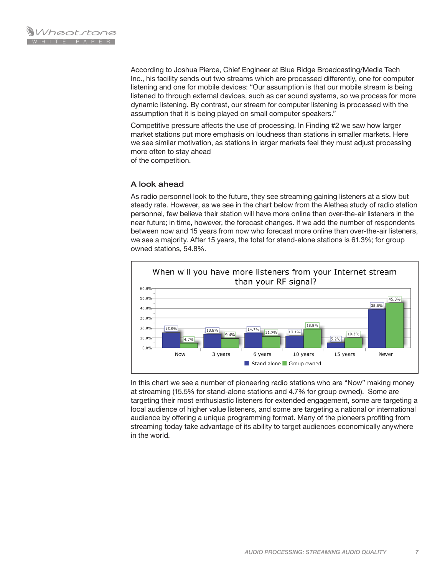According to Joshua Pierce, Chief Engineer at Blue Ridge Broadcasting/Media Tech Inc., his facility sends out two streams which are processed differently, one for computer listening and one for mobile devices: "Our assumption is that our mobile stream is being listened to through external devices, such as car sound systems, so we process for more dynamic listening. By contrast, our stream for computer listening is processed with the assumption that it is being played on small computer speakers."

Competitive pressure affects the use of processing. In Finding #2 we saw how larger market stations put more emphasis on loudness than stations in smaller markets. Here we see similar motivation, as stations in larger markets feel they must adjust processing more often to stay ahead of the competition.

### A look ahead

As radio personnel look to the future, they see streaming gaining listeners at a slow but steady rate. However, as we see in the chart below from the Alethea study of radio station personnel, few believe their station will have more online than over-the-air listeners in the near future; in time, however, the forecast changes. If we add the number of respondents between now and 15 years from now who forecast more online than over-the-air listeners, we see a majority. After 15 years, the total for stand-alone stations is 61.3%; for group owned stations, 54.8%.



In this chart we see a number of pioneering radio stations who are "Now" making money at streaming (15.5% for stand-alone stations and 4.7% for group owned). Some are targeting their most enthusiastic listeners for extended engagement, some are targeting a local audience of higher value listeners, and some are targeting a national or international audience by offering a unique programming format. Many of the pioneers profiting from streaming today take advantage of its ability to target audiences economically anywhere in the world.